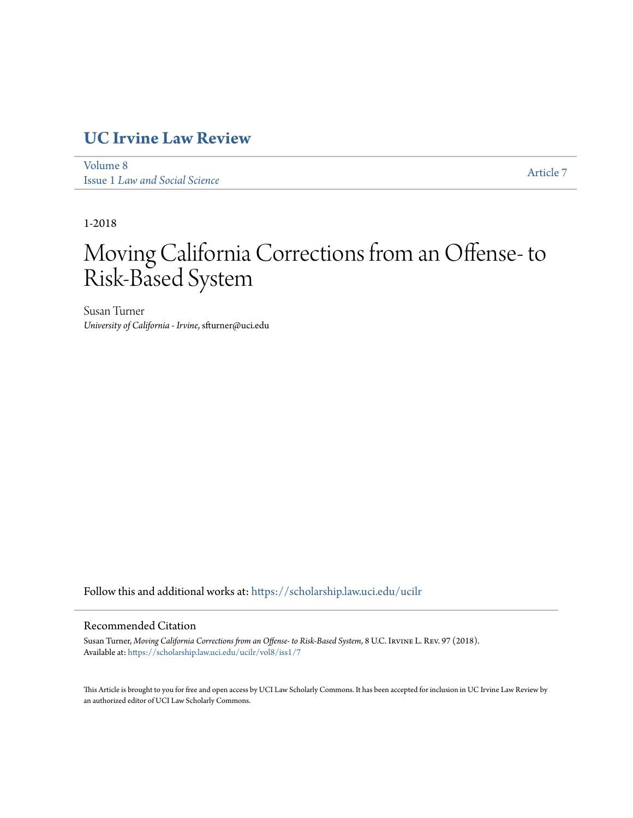## **[UC Irvine Law Review](https://scholarship.law.uci.edu/ucilr?utm_source=scholarship.law.uci.edu%2Fucilr%2Fvol8%2Fiss1%2F7&utm_medium=PDF&utm_campaign=PDFCoverPages)**

[Volume 8](https://scholarship.law.uci.edu/ucilr/vol8?utm_source=scholarship.law.uci.edu%2Fucilr%2Fvol8%2Fiss1%2F7&utm_medium=PDF&utm_campaign=PDFCoverPages) Issue 1 *[Law and Social Science](https://scholarship.law.uci.edu/ucilr/vol8/iss1?utm_source=scholarship.law.uci.edu%2Fucilr%2Fvol8%2Fiss1%2F7&utm_medium=PDF&utm_campaign=PDFCoverPages)*

[Article 7](https://scholarship.law.uci.edu/ucilr/vol8/iss1/7?utm_source=scholarship.law.uci.edu%2Fucilr%2Fvol8%2Fiss1%2F7&utm_medium=PDF&utm_campaign=PDFCoverPages)

1-2018

# Moving California Corrections from an Offense-to Risk-Based System

Susan Turner *University of California - Irvine*, sfturner@uci.edu

Follow this and additional works at: [https://scholarship.law.uci.edu/ucilr](https://scholarship.law.uci.edu/ucilr?utm_source=scholarship.law.uci.edu%2Fucilr%2Fvol8%2Fiss1%2F7&utm_medium=PDF&utm_campaign=PDFCoverPages)

### Recommended Citation

Susan Turner, *Moving California Corrections from an Offense- to Risk-Based System*, 8 U.C. Irvine L. Rev. 97 (2018). Available at: [https://scholarship.law.uci.edu/ucilr/vol8/iss1/7](https://scholarship.law.uci.edu/ucilr/vol8/iss1/7?utm_source=scholarship.law.uci.edu%2Fucilr%2Fvol8%2Fiss1%2F7&utm_medium=PDF&utm_campaign=PDFCoverPages)

This Article is brought to you for free and open access by UCI Law Scholarly Commons. It has been accepted for inclusion in UC Irvine Law Review by an authorized editor of UCI Law Scholarly Commons.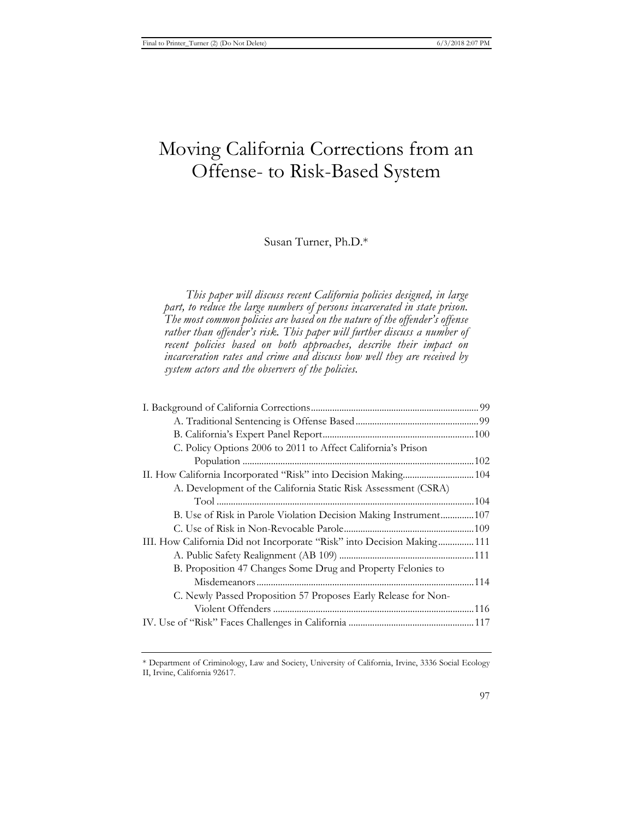# Moving California Corrections from an Offense- to Risk-Based System

Susan Turner, Ph.D.\*

*This paper will discuss recent California policies designed, in large part, to reduce the large numbers of persons incarcerated in state prison. The most common policies are based on the nature of the offender's offense*  rather than offender's risk. This paper will further discuss a number of *recent policies based on both approaches, describe their impact on incarceration rates and crime and discuss how well they are received by system actors and the observers of the policies.* 

| C. Policy Options 2006 to 2011 to Affect California's Prison            |  |
|-------------------------------------------------------------------------|--|
|                                                                         |  |
|                                                                         |  |
| A. Development of the California Static Risk Assessment (CSRA)          |  |
|                                                                         |  |
| B. Use of Risk in Parole Violation Decision Making Instrument107        |  |
|                                                                         |  |
| III. How California Did not Incorporate "Risk" into Decision Making 111 |  |
|                                                                         |  |
| B. Proposition 47 Changes Some Drug and Property Felonies to            |  |
|                                                                         |  |
| C. Newly Passed Proposition 57 Proposes Early Release for Non-          |  |
|                                                                         |  |
|                                                                         |  |
|                                                                         |  |

\* Department of Criminology, Law and Society, University of California, Irvine, 3336 Social Ecology II, Irvine, California 92617.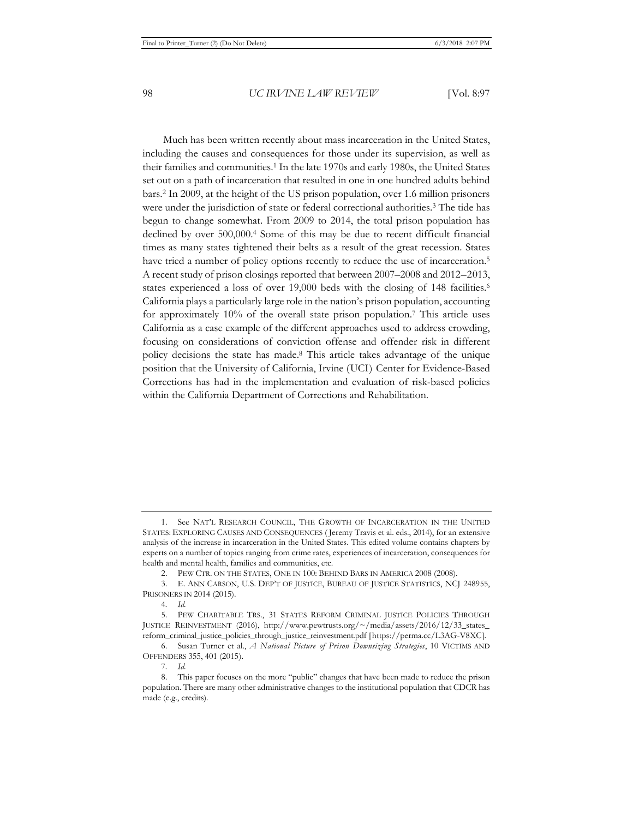Much has been written recently about mass incarceration in the United States, including the causes and consequences for those under its supervision, as well as their families and communities.1 In the late 1970s and early 1980s, the United States set out on a path of incarceration that resulted in one in one hundred adults behind bars.2 In 2009, at the height of the US prison population, over 1.6 million prisoners were under the jurisdiction of state or federal correctional authorities.3 The tide has begun to change somewhat. From 2009 to 2014, the total prison population has declined by over 500,000.4 Some of this may be due to recent difficult financial times as many states tightened their belts as a result of the great recession. States have tried a number of policy options recently to reduce the use of incarceration.<sup>5</sup> A recent study of prison closings reported that between 2007–2008 and 2012–2013, states experienced a loss of over 19,000 beds with the closing of 148 facilities.<sup>6</sup> California plays a particularly large role in the nation's prison population, accounting for approximately 10% of the overall state prison population.7 This article uses California as a case example of the different approaches used to address crowding, focusing on considerations of conviction offense and offender risk in different policy decisions the state has made.8 This article takes advantage of the unique position that the University of California, Irvine (UCI) Center for Evidence-Based Corrections has had in the implementation and evaluation of risk-based policies within the California Department of Corrections and Rehabilitation.

<sup>1.</sup> See NAT'L RESEARCH COUNCIL, THE GROWTH OF INCARCERATION IN THE UNITED STATES: EXPLORING CAUSES AND CONSEQUENCES ( Jeremy Travis et al. eds., 2014), for an extensive analysis of the increase in incarceration in the United States. This edited volume contains chapters by experts on a number of topics ranging from crime rates, experiences of incarceration, consequences for health and mental health, families and communities, etc.

<sup>2.</sup> PEW CTR. ON THE STATES, ONE IN 100: BEHIND BARS IN AMERICA 2008 (2008).

<sup>3.</sup> E. ANN CARSON, U.S. DEP'T OF JUSTICE, BUREAU OF JUSTICE STATISTICS, NCJ 248955, PRISONERS IN 2014 (2015).

<sup>4</sup>*. Id.*

<sup>5.</sup> PEW CHARITABLE TRS., 31 STATES REFORM CRIMINAL JUSTICE POLICIES THROUGH JUSTICE REINVESTMENT (2016), http://www.pewtrusts.org/~/media/assets/2016/12/33\_states\_ reform\_criminal\_justice\_policies\_through\_justice\_reinvestment.pdf [https://perma.cc/L3AG-V8XC].

<sup>6.</sup> Susan Turner et al., *A National Picture of Prison Downsizing Strategies*, 10 VICTIMS AND OFFENDERS 355, 401 (2015).

<sup>7</sup>*. Id.*

<sup>8.</sup> This paper focuses on the more "public" changes that have been made to reduce the prison population. There are many other administrative changes to the institutional population that CDCR has made (e.g., credits).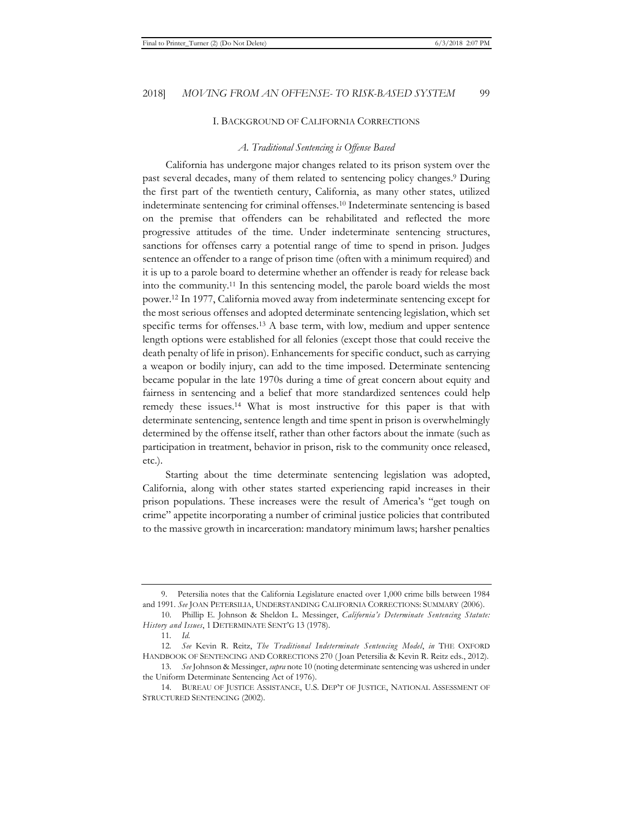#### I. BACKGROUND OF CALIFORNIA CORRECTIONS

#### *A. Traditional Sentencing is Offense Based*

California has undergone major changes related to its prison system over the past several decades, many of them related to sentencing policy changes.9 During the first part of the twentieth century, California, as many other states, utilized indeterminate sentencing for criminal offenses.10 Indeterminate sentencing is based on the premise that offenders can be rehabilitated and reflected the more progressive attitudes of the time. Under indeterminate sentencing structures, sanctions for offenses carry a potential range of time to spend in prison. Judges sentence an offender to a range of prison time (often with a minimum required) and it is up to a parole board to determine whether an offender is ready for release back into the community.11 In this sentencing model, the parole board wields the most power.12 In 1977, California moved away from indeterminate sentencing except for the most serious offenses and adopted determinate sentencing legislation, which set specific terms for offenses.13 A base term, with low, medium and upper sentence length options were established for all felonies (except those that could receive the death penalty of life in prison). Enhancements for specific conduct, such as carrying a weapon or bodily injury, can add to the time imposed. Determinate sentencing became popular in the late 1970s during a time of great concern about equity and fairness in sentencing and a belief that more standardized sentences could help remedy these issues.14 What is most instructive for this paper is that with determinate sentencing, sentence length and time spent in prison is overwhelmingly determined by the offense itself, rather than other factors about the inmate (such as participation in treatment, behavior in prison, risk to the community once released, etc.).

Starting about the time determinate sentencing legislation was adopted, California, along with other states started experiencing rapid increases in their prison populations. These increases were the result of America's "get tough on crime" appetite incorporating a number of criminal justice policies that contributed to the massive growth in incarceration: mandatory minimum laws; harsher penalties

<sup>9.</sup> Petersilia notes that the California Legislature enacted over 1,000 crime bills between 1984 and 1991. *See* JOAN PETERSILIA, UNDERSTANDING CALIFORNIA CORRECTIONS: SUMMARY (2006).

<sup>10.</sup> Phillip E. Johnson & Sheldon L. Messinger, *California's Determinate Sentencing Statute: History and Issues*, 1 DETERMINATE SENT'G 13 (1978).

<sup>11</sup>*. Id.*

<sup>12</sup>*. See* Kevin R. Reitz, *The Traditional Indeterminate Sentencing Model*, *in* THE OXFORD HANDBOOK OF SENTENCING AND CORRECTIONS 270 ( Joan Petersilia & Kevin R. Reitz eds., 2012).

<sup>13.</sup> *See* Johnson & Messinger, *supra* note 10 (noting determinate sentencing was ushered in under the Uniform Determinate Sentencing Act of 1976).

<sup>14.</sup> BUREAU OF JUSTICE ASSISTANCE, U.S. DEP'T OF JUSTICE, NATIONAL ASSESSMENT OF STRUCTURED SENTENCING (2002).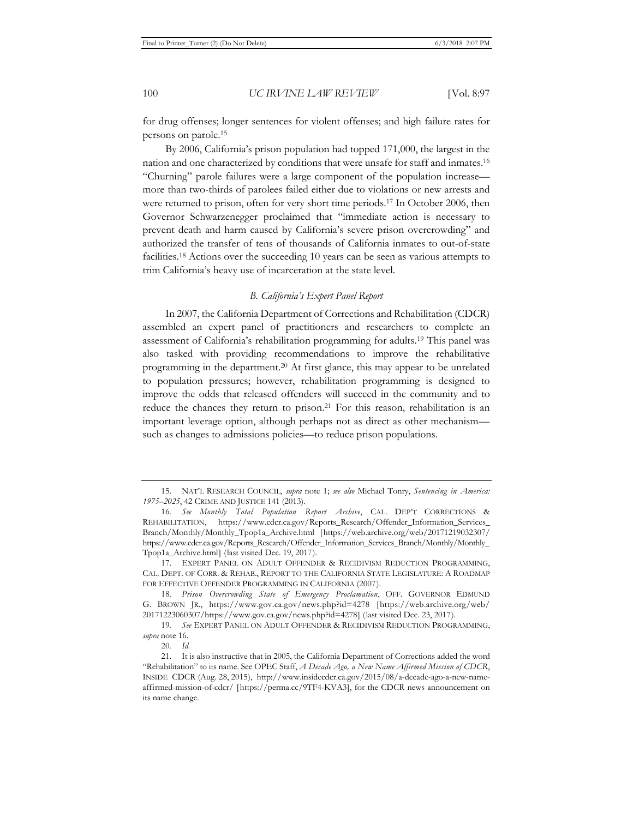for drug offenses; longer sentences for violent offenses; and high failure rates for persons on parole.15

By 2006, California's prison population had topped 171,000, the largest in the nation and one characterized by conditions that were unsafe for staff and inmates.16 "Churning" parole failures were a large component of the population increase more than two-thirds of parolees failed either due to violations or new arrests and were returned to prison, often for very short time periods.17 In October 2006, then Governor Schwarzenegger proclaimed that "immediate action is necessary to prevent death and harm caused by California's severe prison overcrowding" and authorized the transfer of tens of thousands of California inmates to out-of-state facilities.18 Actions over the succeeding 10 years can be seen as various attempts to trim California's heavy use of incarceration at the state level.

#### *B. California's Expert Panel Report*

In 2007, the California Department of Corrections and Rehabilitation (CDCR) assembled an expert panel of practitioners and researchers to complete an assessment of California's rehabilitation programming for adults.19 This panel was also tasked with providing recommendations to improve the rehabilitative programming in the department.20 At first glance, this may appear to be unrelated to population pressures; however, rehabilitation programming is designed to improve the odds that released offenders will succeed in the community and to reduce the chances they return to prison.<sup>21</sup> For this reason, rehabilitation is an important leverage option, although perhaps not as direct as other mechanism such as changes to admissions policies—to reduce prison populations.

<sup>15.</sup> NAT'L RESEARCH COUNCIL, *supra* note 1; *see also* Michael Tonry, *Sentencing in America: 1975–2025*, 42 CRIME AND JUSTICE 141 (2013).

<sup>16</sup>*. See Monthly Total Population Report Archive*, CAL. DEP'T CORRECTIONS & REHABILITATION, https://www.cdcr.ca.gov/Reports\_Research/Offender\_Information\_Services\_ Branch/Monthly/Monthly\_Tpop1a\_Archive.html [https://web.archive.org/web/20171219032307/ https://www.cdcr.ca.gov/Reports\_Research/Offender\_Information\_Services\_Branch/Monthly/Monthly\_ Tpop1a\_Archive.html] (last visited Dec. 19, 2017).

<sup>17.</sup> EXPERT PANEL ON ADULT OFFENDER & RECIDIVISM REDUCTION PROGRAMMING, CAL. DEPT. OF CORR. & REHAB., REPORT TO THE CALIFORNIA STATE LEGISLATURE: A ROADMAP FOR EFFECTIVE OFFENDER PROGRAMMING IN CALIFORNIA (2007).

<sup>18</sup>*. Prison Overcrowding State of Emergency Proclamation*, OFF. GOVERNOR EDMUND G. BROWN JR., https://www.gov.ca.gov/news.php?id=4278 [https://web.archive.org/web/ 20171223060307/https://www.gov.ca.gov/news.php?id=4278] (last visited Dec. 23, 2017).

<sup>19</sup>*. See* EXPERT PANEL ON ADULT OFFENDER & RECIDIVISM REDUCTION PROGRAMMING, *supra* note 16.

<sup>20</sup>*. Id.*

<sup>21.</sup> It is also instructive that in 2005, the California Department of Corrections added the word "Rehabilitation" to its name. See OPEC Staff, *A Decade Ago, a New Name Affirmed Mission of CDCR*, INSIDE CDCR (Aug. 28, 2015), http://www.insidecdcr.ca.gov/2015/08/a-decade-ago-a-new-nameaffirmed-mission-of-cdcr/ [https://perma.cc/9TF4-KVA3], for the CDCR news announcement on its name change.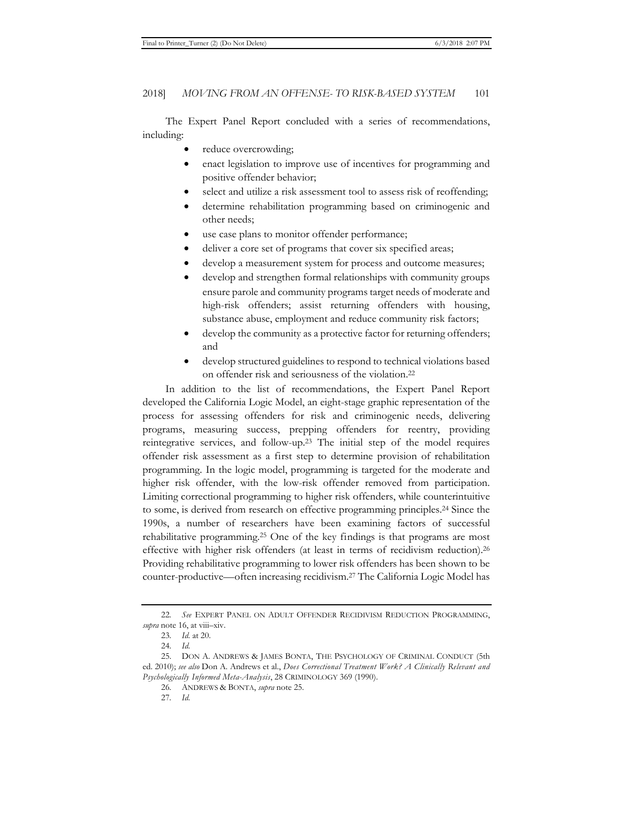The Expert Panel Report concluded with a series of recommendations, including:

- reduce overcrowding;
- enact legislation to improve use of incentives for programming and positive offender behavior;
- select and utilize a risk assessment tool to assess risk of reoffending;
- determine rehabilitation programming based on criminogenic and other needs;
- use case plans to monitor offender performance;
- deliver a core set of programs that cover six specified areas;
- develop a measurement system for process and outcome measures;
- develop and strengthen formal relationships with community groups ensure parole and community programs target needs of moderate and high-risk offenders; assist returning offenders with housing, substance abuse, employment and reduce community risk factors;
- develop the community as a protective factor for returning offenders; and
- develop structured guidelines to respond to technical violations based on offender risk and seriousness of the violation.22

In addition to the list of recommendations, the Expert Panel Report developed the California Logic Model, an eight-stage graphic representation of the process for assessing offenders for risk and criminogenic needs, delivering programs, measuring success, prepping offenders for reentry, providing reintegrative services, and follow-up.23 The initial step of the model requires offender risk assessment as a first step to determine provision of rehabilitation programming. In the logic model, programming is targeted for the moderate and higher risk offender, with the low-risk offender removed from participation. Limiting correctional programming to higher risk offenders, while counterintuitive to some, is derived from research on effective programming principles.24 Since the 1990s, a number of researchers have been examining factors of successful rehabilitative programming.25 One of the key findings is that programs are most effective with higher risk offenders (at least in terms of recidivism reduction).26 Providing rehabilitative programming to lower risk offenders has been shown to be counter-productive—often increasing recidivism.27 The California Logic Model has

<sup>22</sup>*. See* EXPERT PANEL ON ADULT OFFENDER RECIDIVISM REDUCTION PROGRAMMING, *supra* note 16, at viii–xiv.

<sup>23</sup>*. Id.* at 20.

<sup>24</sup>*. Id.* 

<sup>25.</sup> DON A. ANDREWS & JAMES BONTA, THE PSYCHOLOGY OF CRIMINAL CONDUCT (5th ed. 2010); *see also* Don A. Andrews et al., *Does Correctional Treatment Work? A Clinically Relevant and Psychologically Informed Meta-Analysis*, 28 CRIMINOLOGY 369 (1990).

<sup>26</sup>*.* ANDREWS & BONTA, *supra* note 25.

<sup>27</sup>*. Id.*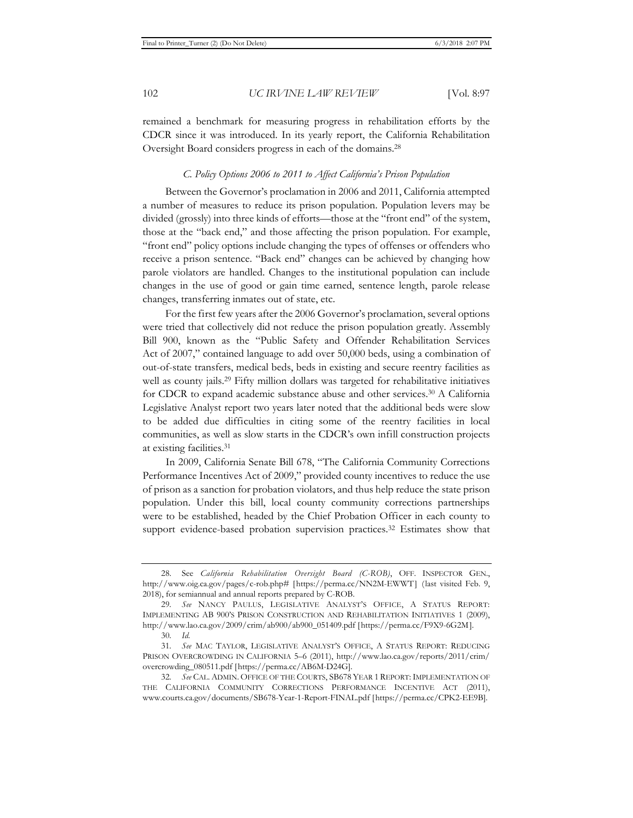remained a benchmark for measuring progress in rehabilitation efforts by the CDCR since it was introduced. In its yearly report, the California Rehabilitation Oversight Board considers progress in each of the domains.28

#### *C. Policy Options 2006 to 2011 to Affect California's Prison Population*

Between the Governor's proclamation in 2006 and 2011, California attempted a number of measures to reduce its prison population. Population levers may be divided (grossly) into three kinds of efforts—those at the "front end" of the system, those at the "back end," and those affecting the prison population. For example, "front end" policy options include changing the types of offenses or offenders who receive a prison sentence. "Back end" changes can be achieved by changing how parole violators are handled. Changes to the institutional population can include changes in the use of good or gain time earned, sentence length, parole release changes, transferring inmates out of state, etc.

For the first few years after the 2006 Governor's proclamation, several options were tried that collectively did not reduce the prison population greatly. Assembly Bill 900, known as the "Public Safety and Offender Rehabilitation Services Act of 2007," contained language to add over 50,000 beds, using a combination of out-of-state transfers, medical beds, beds in existing and secure reentry facilities as well as county jails.<sup>29</sup> Fifty million dollars was targeted for rehabilitative initiatives for CDCR to expand academic substance abuse and other services.30 A California Legislative Analyst report two years later noted that the additional beds were slow to be added due difficulties in citing some of the reentry facilities in local communities, as well as slow starts in the CDCR's own infill construction projects at existing facilities.31

In 2009, California Senate Bill 678, "The California Community Corrections Performance Incentives Act of 2009," provided county incentives to reduce the use of prison as a sanction for probation violators, and thus help reduce the state prison population. Under this bill, local county community corrections partnerships were to be established, headed by the Chief Probation Officer in each county to support evidence-based probation supervision practices.<sup>32</sup> Estimates show that

<sup>28.</sup> See *California Rehabilitation Oversight Board (C-ROB)*, OFF. INSPECTOR GEN., http://www.oig.ca.gov/pages/c-rob.php# [https://perma.cc/NN2M-EWWT] (last visited Feb. 9, 2018), for semiannual and annual reports prepared by C-ROB.

<sup>29</sup>*. See* NANCY PAULUS, LEGISLATIVE ANALYST'S OFFICE, A STATUS REPORT: IMPLEMENTING AB 900'S PRISON CONSTRUCTION AND REHABILITATION INITIATIVES 1 (2009), http://www.lao.ca.gov/2009/crim/ab900/ab900\_051409.pdf [https://perma.cc/F9X9-6G2M].

<sup>30</sup>*. Id.*

<sup>31</sup>*. See* MAC TAYLOR, LEGISLATIVE ANALYST'S OFFICE, A STATUS REPORT: REDUCING PRISON OVERCROWDING IN CALIFORNIA 5–6 (2011), http://www.lao.ca.gov/reports/2011/crim/ overcrowding\_080511.pdf [https://perma.cc/AB6M-D24G].

<sup>32</sup>*. See* CAL. ADMIN. OFFICE OF THE COURTS, SB678 YEAR 1 REPORT: IMPLEMENTATION OF THE CALIFORNIA COMMUNITY CORRECTIONS PERFORMANCE INCENTIVE ACT (2011), www.courts.ca.gov/documents/SB678-Year-1-Report-FINAL.pdf [https://perma.cc/CPK2-EE9B].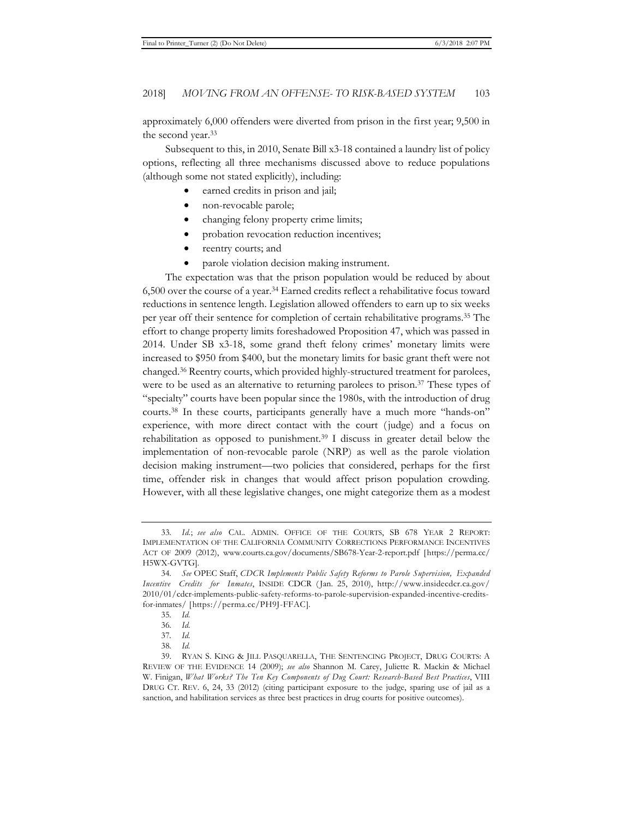approximately 6,000 offenders were diverted from prison in the first year; 9,500 in the second year.33

Subsequent to this, in 2010, Senate Bill x3-18 contained a laundry list of policy options, reflecting all three mechanisms discussed above to reduce populations (although some not stated explicitly), including:

- earned credits in prison and jail;
- non-revocable parole;
- changing felony property crime limits;
- probation revocation reduction incentives;
- reentry courts; and
- parole violation decision making instrument.

The expectation was that the prison population would be reduced by about 6,500 over the course of a year.34 Earned credits reflect a rehabilitative focus toward reductions in sentence length. Legislation allowed offenders to earn up to six weeks per year off their sentence for completion of certain rehabilitative programs.35 The effort to change property limits foreshadowed Proposition 47, which was passed in 2014. Under SB x3-18, some grand theft felony crimes' monetary limits were increased to \$950 from \$400, but the monetary limits for basic grant theft were not changed.36 Reentry courts, which provided highly-structured treatment for parolees, were to be used as an alternative to returning parolees to prison.<sup>37</sup> These types of "specialty" courts have been popular since the 1980s, with the introduction of drug courts.38 In these courts, participants generally have a much more "hands-on" experience, with more direct contact with the court ( judge) and a focus on rehabilitation as opposed to punishment.<sup>39</sup> I discuss in greater detail below the implementation of non-revocable parole (NRP) as well as the parole violation decision making instrument—two policies that considered, perhaps for the first time, offender risk in changes that would affect prison population crowding. However, with all these legislative changes, one might categorize them as a modest

<sup>33</sup>*. Id.*; *see also* CAL. ADMIN. OFFICE OF THE COURTS, SB 678 YEAR 2 REPORT: IMPLEMENTATION OF THE CALIFORNIA COMMUNITY CORRECTIONS PERFORMANCE INCENTIVES ACT OF 2009 (2012), www.courts.ca.gov/documents/SB678-Year-2-report.pdf [https://perma.cc/ H5WX-GVTG].

<sup>34</sup>*. See* OPEC Staff, *CDCR Implements Public Safety Reforms to Parole Supervision, Expanded Incentive Credits for Inmates*, INSIDE CDCR ( Jan. 25, 2010), http://www.insidecdcr.ca.gov/ 2010/01/cdcr-implements-public-safety-reforms-to-parole-supervision-expanded-incentive-creditsfor-inmates/ [https://perma.cc/PH9J-FFAC].

<sup>35</sup>*. Id.*

<sup>36</sup>*. Id.*

<sup>37</sup>*. Id.*

<sup>38</sup>*. Id.*

<sup>39.</sup> RYAN S. KING & JILL PASQUARELLA, THE SENTENCING PROJECT, DRUG COURTS: A REVIEW OF THE EVIDENCE 14 (2009); *see also* Shannon M. Carey, Juliette R. Mackin & Michael W. Finigan, *What Works? The Ten Key Components of Dug Court: Research-Based Best Practices*, VIII DRUG CT. REV. 6, 24, 33 (2012) (citing participant exposure to the judge, sparing use of jail as a sanction, and habilitation services as three best practices in drug courts for positive outcomes).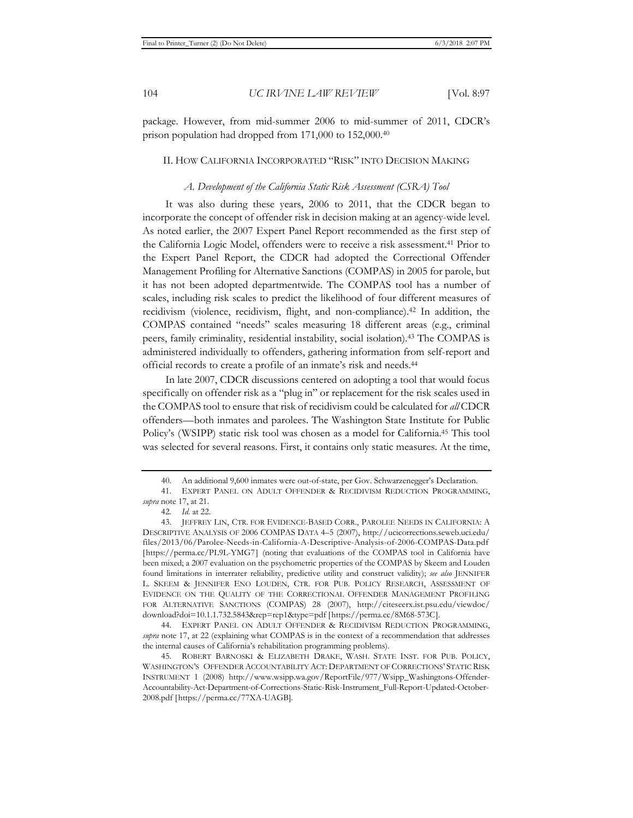package. However, from mid-summer 2006 to mid-summer of 2011, CDCR's prison population had dropped from 171,000 to 152,000.40

#### II. HOW CALIFORNIA INCORPORATED "RISK" INTO DECISION MAKING

#### *A. Development of the California Static Risk Assessment (CSRA) Tool*

It was also during these years, 2006 to 2011, that the CDCR began to incorporate the concept of offender risk in decision making at an agency-wide level. As noted earlier, the 2007 Expert Panel Report recommended as the first step of the California Logic Model, offenders were to receive a risk assessment.41 Prior to the Expert Panel Report, the CDCR had adopted the Correctional Offender Management Profiling for Alternative Sanctions (COMPAS) in 2005 for parole, but it has not been adopted departmentwide. The COMPAS tool has a number of scales, including risk scales to predict the likelihood of four different measures of recidivism (violence, recidivism, flight, and non-compliance).42 In addition, the COMPAS contained "needs" scales measuring 18 different areas (e.g., criminal peers, family criminality, residential instability, social isolation).43 The COMPAS is administered individually to offenders, gathering information from self-report and official records to create a profile of an inmate's risk and needs.44

In late 2007, CDCR discussions centered on adopting a tool that would focus specifically on offender risk as a "plug in" or replacement for the risk scales used in the COMPAS tool to ensure that risk of recidivism could be calculated for *all* CDCR offenders—both inmates and parolees. The Washington State Institute for Public Policy's (WSIPP) static risk tool was chosen as a model for California.45 This tool was selected for several reasons. First, it contains only static measures. At the time,

44*.* EXPERT PANEL ON ADULT OFFENDER & RECIDIVISM REDUCTION PROGRAMMING, *supra* note 17, at 22 (explaining what COMPAS is in the context of a recommendation that addresses the internal causes of California's rehabilitation programming problems).

45. ROBERT BARNOSKI & ELIZABETH DRAKE, WASH. STATE INST. FOR PUB. POLICY, WASHINGTON'S OFFENDER ACCOUNTABILITY ACT: DEPARTMENT OF CORRECTIONS' STATIC RISK INSTRUMENT 1 (2008) http://www.wsipp.wa.gov/ReportFile/977/Wsipp\_Washingtons-Offender-Accountability-Act-Department-of-Corrections-Static-Risk-Instrument\_Full-Report-Updated-October-2008.pdf [https://perma.cc/77XA-UAGB].

<sup>40.</sup> An additional 9,600 inmates were out-of-state, per Gov. Schwarzenegger's Declaration.

<sup>41.</sup> EXPERT PANEL ON ADULT OFFENDER & RECIDIVISM REDUCTION PROGRAMMING, *supra* note 17, at 21.

<sup>42</sup>*. Id.* at 22.

<sup>43.</sup> JEFFREY LIN, CTR. FOR EVIDENCE-BASED CORR., PAROLEE NEEDS IN CALIFORNIA: A DESCRIPTIVE ANALYSIS OF 2006 COMPAS DATA 4–5 (2007), http://ucicorrections.seweb.uci.edu/ files/2013/06/Parolee-Needs-in-California-A-Descriptive-Analysis-of-2006-COMPAS-Data.pdf [https://perma.cc/PL9L-YMG7] (noting that evaluations of the COMPAS tool in California have been mixed; a 2007 evaluation on the psychometric properties of the COMPAS by Skeem and Louden found limitations in interrater reliability, predictive utility and construct validity); *see also* JENNIFER L. SKEEM & JENNIFER ENO LOUDEN, CTR. FOR PUB. POLICY RESEARCH, ASSESSMENT OF EVIDENCE ON THE QUALITY OF THE CORRECTIONAL OFFENDER MANAGEMENT PROFILING FOR ALTERNATIVE SANCTIONS (COMPAS) 28 (2007), http://citeseerx.ist.psu.edu/viewdoc/ download?doi=10.1.1.732.5843&rep=rep1&type=pdf [https://perma.cc/8M68-573C].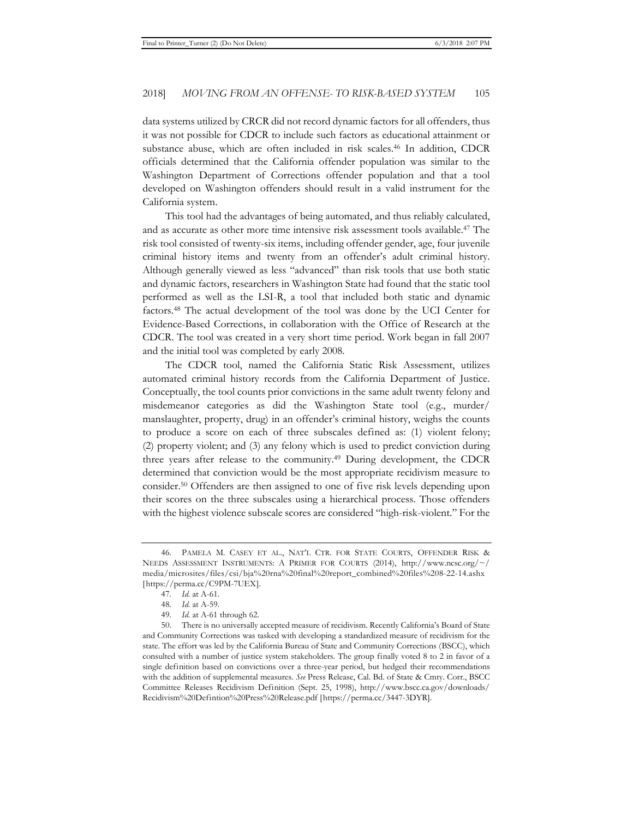data systems utilized by CRCR did not record dynamic factors for all offenders, thus it was not possible for CDCR to include such factors as educational attainment or substance abuse, which are often included in risk scales.46 In addition, CDCR officials determined that the California offender population was similar to the Washington Department of Corrections offender population and that a tool developed on Washington offenders should result in a valid instrument for the California system.

This tool had the advantages of being automated, and thus reliably calculated, and as accurate as other more time intensive risk assessment tools available.47 The risk tool consisted of twenty-six items, including offender gender, age, four juvenile criminal history items and twenty from an offender's adult criminal history. Although generally viewed as less "advanced" than risk tools that use both static and dynamic factors, researchers in Washington State had found that the static tool performed as well as the LSI-R, a tool that included both static and dynamic factors.48 The actual development of the tool was done by the UCI Center for Evidence-Based Corrections, in collaboration with the Office of Research at the CDCR. The tool was created in a very short time period. Work began in fall 2007 and the initial tool was completed by early 2008.

The CDCR tool, named the California Static Risk Assessment, utilizes automated criminal history records from the California Department of Justice. Conceptually, the tool counts prior convictions in the same adult twenty felony and misdemeanor categories as did the Washington State tool (e.g., murder/ manslaughter, property, drug) in an offender's criminal history, weighs the counts to produce a score on each of three subscales defined as: (1) violent felony; (2) property violent; and (3) any felony which is used to predict conviction during three years after release to the community.49 During development, the CDCR determined that conviction would be the most appropriate recidivism measure to consider.50 Offenders are then assigned to one of five risk levels depending upon their scores on the three subscales using a hierarchical process. Those offenders with the highest violence subscale scores are considered "high-risk-violent." For the

<sup>46.</sup> PAMELA M. CASEY ET AL., NAT'L CTR. FOR STATE COURTS, OFFENDER RISK & NEEDS ASSESSMENT INSTRUMENTS: A PRIMER FOR COURTS (2014), http://www.ncsc.org/~/ media/microsites/files/csi/bja%20rna%20final%20report\_combined%20files%208-22-14.ashx [https://perma.cc/C9PM-7UEX].

<sup>47</sup>*. Id.* at A-61.

<sup>48</sup>*. Id.* at A-59.

<sup>49</sup>*. Id.* at A-61 through 62.

<sup>50.</sup> There is no universally accepted measure of recidivism. Recently California's Board of State and Community Corrections was tasked with developing a standardized measure of recidivism for the state. The effort was led by the California Bureau of State and Community Corrections (BSCC), which consulted with a number of justice system stakeholders. The group finally voted 8 to 2 in favor of a single definition based on convictions over a three-year period, but hedged their recommendations with the addition of supplemental measures. *See* Press Release, Cal. Bd. of State & Cmty. Corr., BSCC Committee Releases Recidivism Definition (Sept. 25, 1998), http://www.bscc.ca.gov/downloads/ Recidivism%20Defintion%20Press%20Release.pdf [https://perma.cc/3447-3DYR].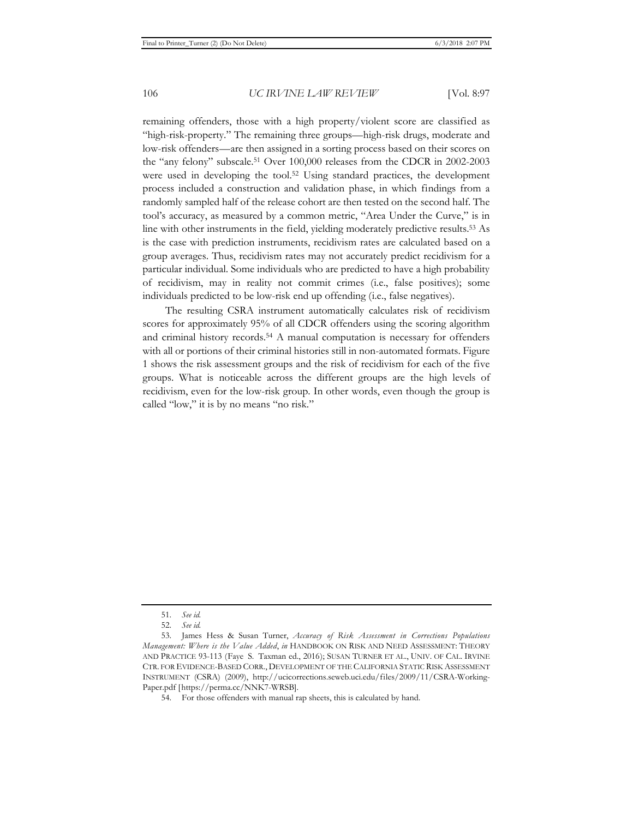remaining offenders, those with a high property/violent score are classified as "high-risk-property." The remaining three groups—high-risk drugs, moderate and low-risk offenders—are then assigned in a sorting process based on their scores on the "any felony" subscale.51 Over 100,000 releases from the CDCR in 2002-2003 were used in developing the tool.52 Using standard practices, the development process included a construction and validation phase, in which findings from a randomly sampled half of the release cohort are then tested on the second half. The tool's accuracy, as measured by a common metric, "Area Under the Curve," is in line with other instruments in the field, yielding moderately predictive results.53 As is the case with prediction instruments, recidivism rates are calculated based on a group averages. Thus, recidivism rates may not accurately predict recidivism for a particular individual. Some individuals who are predicted to have a high probability of recidivism, may in reality not commit crimes (i.e., false positives); some individuals predicted to be low-risk end up offending (i.e., false negatives).

The resulting CSRA instrument automatically calculates risk of recidivism scores for approximately 95% of all CDCR offenders using the scoring algorithm and criminal history records.54 A manual computation is necessary for offenders with all or portions of their criminal histories still in non-automated formats. Figure 1 shows the risk assessment groups and the risk of recidivism for each of the five groups. What is noticeable across the different groups are the high levels of recidivism, even for the low-risk group. In other words, even though the group is called "low," it is by no means "no risk."

<sup>51.</sup> *See id.*

<sup>52.</sup> *See id.*

<sup>53.</sup> James Hess & Susan Turner, *Accuracy of Risk Assessment in Corrections Populations Management: Where is the Value Added*, *in* HANDBOOK ON RISK AND NEED ASSESSMENT: THEORY AND PRACTICE 93-113 (Faye S. Taxman ed., 2016); SUSAN TURNER ET AL., UNIV. OF CAL. IRVINE CTR. FOR EVIDENCE-BASED CORR., DEVELOPMENT OF THE CALIFORNIA STATIC RISK ASSESSMENT INSTRUMENT (CSRA) (2009), http://ucicorrections.seweb.uci.edu/files/2009/11/CSRA-Working-Paper.pdf [https://perma.cc/NNK7-WRSB].

<sup>54.</sup> For those offenders with manual rap sheets, this is calculated by hand.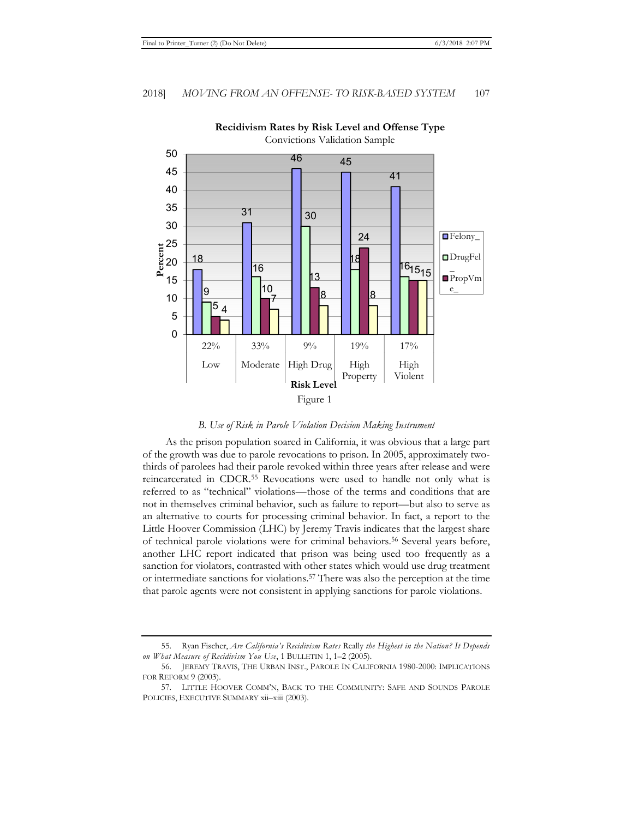

### **Recidivism Rates by Risk Level and Offense Type**

*B. Use of Risk in Parole Violation Decision Making Instrument* 

As the prison population soared in California, it was obvious that a large part of the growth was due to parole revocations to prison. In 2005, approximately twothirds of parolees had their parole revoked within three years after release and were reincarcerated in CDCR.55 Revocations were used to handle not only what is referred to as "technical" violations—those of the terms and conditions that are not in themselves criminal behavior, such as failure to report—but also to serve as an alternative to courts for processing criminal behavior. In fact, a report to the Little Hoover Commission (LHC) by Jeremy Travis indicates that the largest share of technical parole violations were for criminal behaviors.56 Several years before, another LHC report indicated that prison was being used too frequently as a sanction for violators, contrasted with other states which would use drug treatment or intermediate sanctions for violations.57 There was also the perception at the time that parole agents were not consistent in applying sanctions for parole violations.

<sup>55.</sup> Ryan Fischer, *Are California's Recidivism Rates* Really *the Highest in the Nation? It Depends on What Measure of Recidivism You Use*, 1 BULLETIN 1, 1–2 (2005).

<sup>56.</sup> JEREMY TRAVIS, THE URBAN INST., PAROLE IN CALIFORNIA 1980-2000: IMPLICATIONS FOR REFORM 9 (2003).

<sup>57.</sup> LITTLE HOOVER COMM'N, BACK TO THE COMMUNITY: SAFE AND SOUNDS PAROLE POLICIES, EXECUTIVE SUMMARY xii–xiii (2003).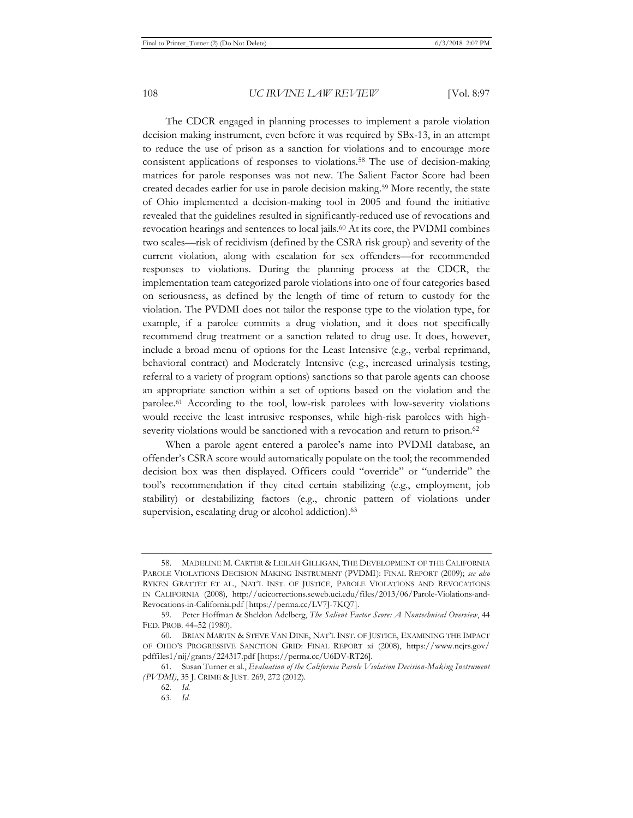The CDCR engaged in planning processes to implement a parole violation decision making instrument, even before it was required by SBx-13, in an attempt to reduce the use of prison as a sanction for violations and to encourage more consistent applications of responses to violations.58 The use of decision-making matrices for parole responses was not new. The Salient Factor Score had been created decades earlier for use in parole decision making.59 More recently, the state of Ohio implemented a decision-making tool in 2005 and found the initiative revealed that the guidelines resulted in significantly-reduced use of revocations and revocation hearings and sentences to local jails.60 At its core, the PVDMI combines two scales—risk of recidivism (defined by the CSRA risk group) and severity of the current violation, along with escalation for sex offenders—for recommended responses to violations. During the planning process at the CDCR, the implementation team categorized parole violations into one of four categories based on seriousness, as defined by the length of time of return to custody for the violation. The PVDMI does not tailor the response type to the violation type, for example, if a parolee commits a drug violation, and it does not specifically recommend drug treatment or a sanction related to drug use. It does, however, include a broad menu of options for the Least Intensive (e.g., verbal reprimand, behavioral contract) and Moderately Intensive (e.g., increased urinalysis testing, referral to a variety of program options) sanctions so that parole agents can choose an appropriate sanction within a set of options based on the violation and the parolee.61 According to the tool, low-risk parolees with low-severity violations would receive the least intrusive responses, while high-risk parolees with highseverity violations would be sanctioned with a revocation and return to prison.<sup>62</sup>

When a parole agent entered a parolee's name into PVDMI database, an offender's CSRA score would automatically populate on the tool; the recommended decision box was then displayed. Officers could "override" or "underride" the tool's recommendation if they cited certain stabilizing (e.g., employment, job stability) or destabilizing factors (e.g., chronic pattern of violations under supervision, escalating drug or alcohol addiction).<sup>63</sup>

<sup>58.</sup> MADELINE M. CARTER & LEILAH GILLIGAN, THE DEVELOPMENT OF THE CALIFORNIA PAROLE VIOLATIONS DECISION MAKING INSTRUMENT (PVDMI): FINAL REPORT (2009); *see also* RYKEN GRATTET ET AL., NAT'L INST. OF JUSTICE, PAROLE VIOLATIONS AND REVOCATIONS IN CALIFORNIA (2008), http://ucicorrections.seweb.uci.edu/files/2013/06/Parole-Violations-and-Revocations-in-California.pdf [https://perma.cc/LV7J-7KQ7].

<sup>59.</sup> Peter Hoffman & Sheldon Adelberg, *The Salient Factor Score: A Nontechnical Overview*, 44 FED. PROB. 44–52 (1980).

<sup>60.</sup> BRIAN MARTIN & STEVE VAN DINE, NAT'L INST. OF JUSTICE, EXAMINING THE IMPACT OF OHIO'S PROGRESSIVE SANCTION GRID: FINAL REPORT xi (2008), https://www.ncjrs.gov/ pdffiles1/nij/grants/224317.pdf [https://perma.cc/U6DV-RT26].

<sup>61.</sup> Susan Turner et al., *Evaluation of the California Parole Violation Decision-Making Instrument (PVDMI)*, 35 J. CRIME & JUST. 269, 272 (2012).

<sup>62</sup>*. Id.*

<sup>63</sup>*. Id.*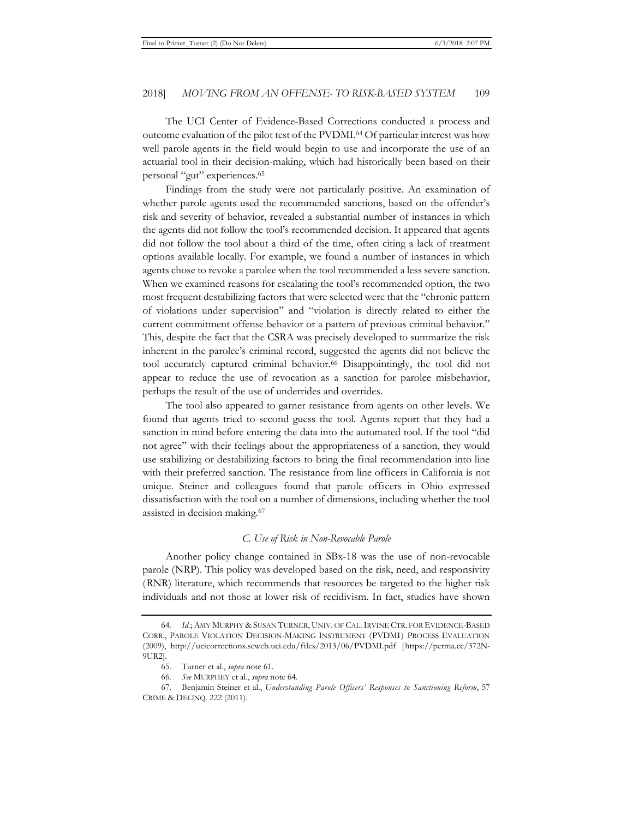The UCI Center of Evidence-Based Corrections conducted a process and outcome evaluation of the pilot test of the PVDMI.64 Of particular interest was how well parole agents in the field would begin to use and incorporate the use of an actuarial tool in their decision-making, which had historically been based on their personal "gut" experiences.65

Findings from the study were not particularly positive. An examination of whether parole agents used the recommended sanctions, based on the offender's risk and severity of behavior, revealed a substantial number of instances in which the agents did not follow the tool's recommended decision. It appeared that agents did not follow the tool about a third of the time, often citing a lack of treatment options available locally. For example, we found a number of instances in which agents chose to revoke a parolee when the tool recommended a less severe sanction. When we examined reasons for escalating the tool's recommended option, the two most frequent destabilizing factors that were selected were that the "chronic pattern of violations under supervision" and "violation is directly related to either the current commitment offense behavior or a pattern of previous criminal behavior." This, despite the fact that the CSRA was precisely developed to summarize the risk inherent in the parolee's criminal record, suggested the agents did not believe the tool accurately captured criminal behavior.<sup>66</sup> Disappointingly, the tool did not appear to reduce the use of revocation as a sanction for parolee misbehavior, perhaps the result of the use of underrides and overrides.

The tool also appeared to garner resistance from agents on other levels. We found that agents tried to second guess the tool. Agents report that they had a sanction in mind before entering the data into the automated tool. If the tool "did not agree" with their feelings about the appropriateness of a sanction, they would use stabilizing or destabilizing factors to bring the final recommendation into line with their preferred sanction. The resistance from line officers in California is not unique. Steiner and colleagues found that parole officers in Ohio expressed dissatisfaction with the tool on a number of dimensions, including whether the tool assisted in decision making.67

#### *C. Use of Risk in Non-Revocable Parole*

Another policy change contained in SBx-18 was the use of non-revocable parole (NRP). This policy was developed based on the risk, need, and responsivity (RNR) literature, which recommends that resources be targeted to the higher risk individuals and not those at lower risk of recidivism. In fact, studies have shown

<sup>64</sup>*. Id.*; AMY MURPHY & SUSAN TURNER, UNIV. OF CAL.IRVINE CTR. FOR EVIDENCE-BASED CORR., PAROLE VIOLATION DECISION-MAKING INSTRUMENT (PVDMI) PROCESS EVALUATION (2009), http://ucicorrections.seweb.uci.edu/files/2013/06/PVDMI.pdf [https://perma.cc/372N-9UR2].

<sup>65</sup>*.* Turner et al., *supra* note 61.

<sup>66</sup>*. See* MURPHEY et al., *supra* note 64.

<sup>67.</sup> Benjamin Steiner et al., *Understanding Parole Officers' Responses to Sanctioning Reform*, 57 CRIME & DELINQ. 222 (2011).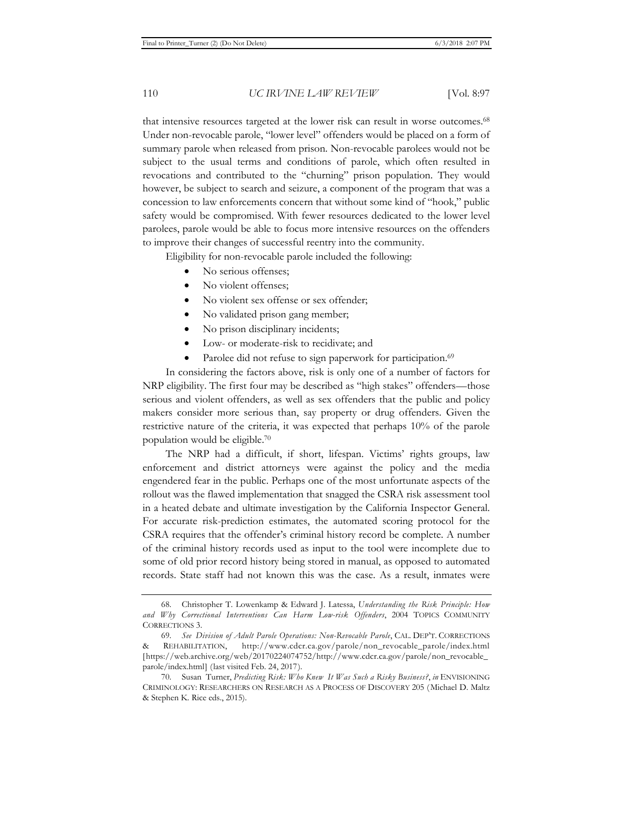that intensive resources targeted at the lower risk can result in worse outcomes.68 Under non-revocable parole, "lower level" offenders would be placed on a form of summary parole when released from prison. Non-revocable parolees would not be subject to the usual terms and conditions of parole, which often resulted in revocations and contributed to the "churning" prison population. They would however, be subject to search and seizure, a component of the program that was a concession to law enforcements concern that without some kind of "hook," public safety would be compromised. With fewer resources dedicated to the lower level parolees, parole would be able to focus more intensive resources on the offenders to improve their changes of successful reentry into the community.

Eligibility for non-revocable parole included the following:

- No serious offenses;
- No violent offenses;
- No violent sex offense or sex offender;
- No validated prison gang member;
- No prison disciplinary incidents;
- Low- or moderate-risk to recidivate; and
- Parolee did not refuse to sign paperwork for participation.<sup>69</sup>

In considering the factors above, risk is only one of a number of factors for NRP eligibility. The first four may be described as "high stakes" offenders—those serious and violent offenders, as well as sex offenders that the public and policy makers consider more serious than, say property or drug offenders. Given the restrictive nature of the criteria, it was expected that perhaps 10% of the parole population would be eligible.70

The NRP had a difficult, if short, lifespan. Victims' rights groups, law enforcement and district attorneys were against the policy and the media engendered fear in the public. Perhaps one of the most unfortunate aspects of the rollout was the flawed implementation that snagged the CSRA risk assessment tool in a heated debate and ultimate investigation by the California Inspector General. For accurate risk-prediction estimates, the automated scoring protocol for the CSRA requires that the offender's criminal history record be complete. A number of the criminal history records used as input to the tool were incomplete due to some of old prior record history being stored in manual, as opposed to automated records. State staff had not known this was the case. As a result, inmates were

<sup>68.</sup> Christopher T. Lowenkamp & Edward J. Latessa, *Understanding the Risk Principle: How and Why Correctional Interventions Can Harm Low-risk Offenders*, 2004 TOPICS COMMUNITY CORRECTIONS 3.

<sup>69.</sup> *See Division of Adult Parole Operations: Non-Revocable Parole*, CAL. DEP'T. CORRECTIONS & REHABILITATION, http://www.cdcr.ca.gov/parole/non\_revocable\_parole/index.html [https://web.archive.org/web/20170224074752/http://www.cdcr.ca.gov/parole/non\_revocable\_ parole/index.html] (last visited Feb. 24, 2017).

<sup>70.</sup> Susan Turner, *Predicting Risk: Who Knew It Was Such a Risky Business?*, *in* ENVISIONING CRIMINOLOGY: RESEARCHERS ON RESEARCH AS A PROCESS OF DISCOVERY 205 (Michael D. Maltz & Stephen K. Rice eds., 2015).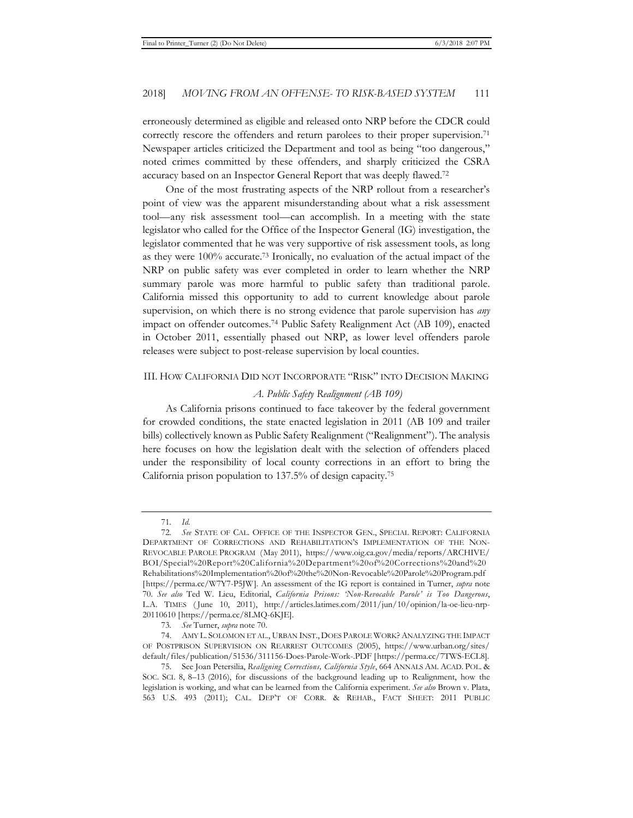erroneously determined as eligible and released onto NRP before the CDCR could correctly rescore the offenders and return parolees to their proper supervision.<sup>71</sup> Newspaper articles criticized the Department and tool as being "too dangerous," noted crimes committed by these offenders, and sharply criticized the CSRA accuracy based on an Inspector General Report that was deeply flawed.72

One of the most frustrating aspects of the NRP rollout from a researcher's point of view was the apparent misunderstanding about what a risk assessment tool—any risk assessment tool—can accomplish. In a meeting with the state legislator who called for the Office of the Inspector General (IG) investigation, the legislator commented that he was very supportive of risk assessment tools, as long as they were 100% accurate.73 Ironically, no evaluation of the actual impact of the NRP on public safety was ever completed in order to learn whether the NRP summary parole was more harmful to public safety than traditional parole. California missed this opportunity to add to current knowledge about parole supervision, on which there is no strong evidence that parole supervision has *any* impact on offender outcomes.74 Public Safety Realignment Act (AB 109), enacted in October 2011, essentially phased out NRP, as lower level offenders parole releases were subject to post-release supervision by local counties.

#### III. HOW CALIFORNIA DID NOT INCORPORATE "RISK" INTO DECISION MAKING

#### *A. Public Safety Realignment (AB 109)*

As California prisons continued to face takeover by the federal government for crowded conditions, the state enacted legislation in 2011 (AB 109 and trailer bills) collectively known as Public Safety Realignment ("Realignment"). The analysis here focuses on how the legislation dealt with the selection of offenders placed under the responsibility of local county corrections in an effort to bring the California prison population to 137.5% of design capacity.75

<sup>71</sup>*. Id.*

<sup>72</sup>*. See* STATE OF CAL. OFFICE OF THE INSPECTOR GEN., SPECIAL REPORT: CALIFORNIA DEPARTMENT OF CORRECTIONS AND REHABILITATION'S IMPLEMENTATION OF THE NON-REVOCABLE PAROLE PROGRAM (May 2011), https://www.oig.ca.gov/media/reports/ARCHIVE/ BOI/Special%20Report%20California%20Department%20of%20Corrections%20and%20 Rehabilitations%20Implementation%20of%20the%20Non-Revocable%20Parole%20Program.pdf [https://perma.cc/W7Y7-P5JW]. An assessment of the IG report is contained in Turner, *supra* note 70. *See also* Ted W. Lieu, Editorial, *California Prisons: 'Non-Revocable Parole' is Too Dangerous*, L.A. TIMES ( June 10, 2011), http://articles.latimes.com/2011/jun/10/opinion/la-oe-lieu-nrp-20110610 [https://perma.cc/8LMQ-6KJE].

<sup>73</sup>*. See* Turner, *supra* note 70.

<sup>74.</sup> AMY L. SOLOMON ET AL., URBAN INST., DOES PAROLE WORK?ANALYZING THE IMPACT OF POSTPRISON SUPERVISION ON REARREST OUTCOMES (2005), https://www.urban.org/sites/ default/files/publication/51536/311156-Does-Parole-Work-.PDF [https://perma.cc/7TWS-ECL8].

<sup>75.</sup> See Joan Petersilia, *Realigning Corrections, California Style*, 664 ANNALS AM. ACAD. POL. & SOC. SCI. 8, 8–13 (2016), for discussions of the background leading up to Realignment, how the legislation is working, and what can be learned from the California experiment. *See also* Brown v. Plata, 563 U.S. 493 (2011); CAL. DEP'T OF CORR. & REHAB., FACT SHEET: 2011 PUBLIC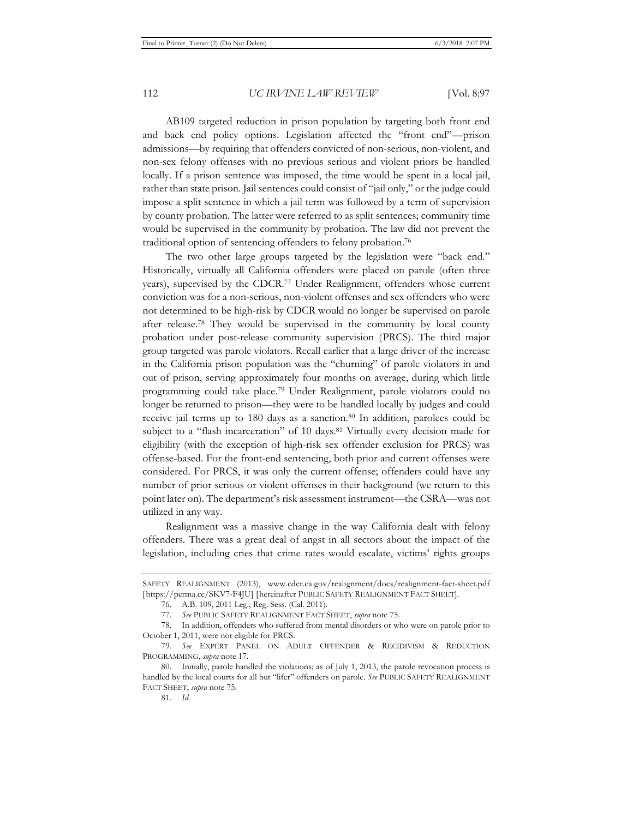AB109 targeted reduction in prison population by targeting both front end and back end policy options. Legislation affected the "front end"—prison admissions—by requiring that offenders convicted of non-serious, non-violent, and non-sex felony offenses with no previous serious and violent priors be handled locally. If a prison sentence was imposed, the time would be spent in a local jail, rather than state prison. Jail sentences could consist of "jail only," or the judge could impose a split sentence in which a jail term was followed by a term of supervision by county probation. The latter were referred to as split sentences; community time would be supervised in the community by probation. The law did not prevent the traditional option of sentencing offenders to felony probation.76

The two other large groups targeted by the legislation were "back end." Historically, virtually all California offenders were placed on parole (often three years), supervised by the CDCR.77 Under Realignment, offenders whose current conviction was for a non-serious, non-violent offenses and sex offenders who were not determined to be high-risk by CDCR would no longer be supervised on parole after release.78 They would be supervised in the community by local county probation under post-release community supervision (PRCS). The third major group targeted was parole violators. Recall earlier that a large driver of the increase in the California prison population was the "churning" of parole violators in and out of prison, serving approximately four months on average, during which little programming could take place.79 Under Realignment, parole violators could no longer be returned to prison—they were to be handled locally by judges and could receive jail terms up to 180 days as a sanction.<sup>80</sup> In addition, parolees could be subject to a "flash incarceration" of 10 days.<sup>81</sup> Virtually every decision made for eligibility (with the exception of high-risk sex offender exclusion for PRCS) was offense-based. For the front-end sentencing, both prior and current offenses were considered. For PRCS, it was only the current offense; offenders could have any number of prior serious or violent offenses in their background (we return to this point later on). The department's risk assessment instrument—the CSRA—was not utilized in any way.

Realignment was a massive change in the way California dealt with felony offenders. There was a great deal of angst in all sectors about the impact of the legislation, including cries that crime rates would escalate, victims' rights groups

SAFETY REALIGNMENT (2013), www.cdcr.ca.gov/realignment/docs/realignment-fact-sheet.pdf [https://perma.cc/SKV7-F4JU] [hereinafter PUBLIC SAFETY REALIGNMENT FACT SHEET].

<sup>76.</sup> A.B. 109, 2011 Leg., Reg. Sess. (Cal. 2011).

<sup>77.</sup> *See* PUBLIC SAFETY REALIGNMENT FACT SHEET, *supra* note 75.

<sup>78.</sup> In addition, offenders who suffered from mental disorders or who were on parole prior to October 1, 2011, were not eligible for PRCS.

<sup>79</sup>*. See* EXPERT PANEL ON ADULT OFFENDER & RECIDIVISM & REDUCTION PROGRAMMING, *supra* note 17.

<sup>80.</sup> Initially, parole handled the violations; as of July 1, 2013, the parole revocation process is handled by the local courts for all but "lifer" offenders on parole. *See* PUBLIC SAFETY REALIGNMENT FACT SHEET, *supra* note 75.

<sup>81.</sup> *Id.*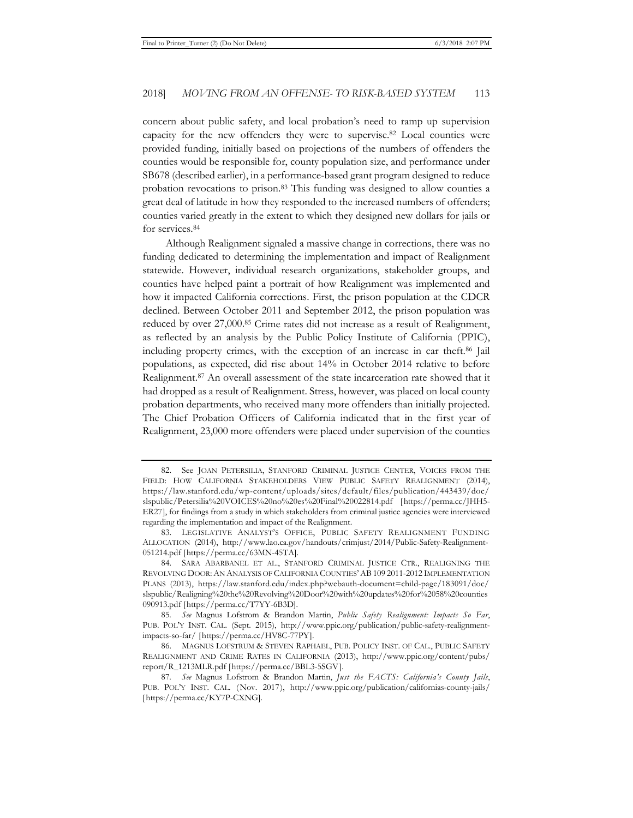concern about public safety, and local probation's need to ramp up supervision capacity for the new offenders they were to supervise.82 Local counties were provided funding, initially based on projections of the numbers of offenders the counties would be responsible for, county population size, and performance under SB678 (described earlier), in a performance-based grant program designed to reduce probation revocations to prison.83 This funding was designed to allow counties a great deal of latitude in how they responded to the increased numbers of offenders; counties varied greatly in the extent to which they designed new dollars for jails or for services.84

Although Realignment signaled a massive change in corrections, there was no funding dedicated to determining the implementation and impact of Realignment statewide. However, individual research organizations, stakeholder groups, and counties have helped paint a portrait of how Realignment was implemented and how it impacted California corrections. First, the prison population at the CDCR declined. Between October 2011 and September 2012, the prison population was reduced by over 27,000.85 Crime rates did not increase as a result of Realignment, as reflected by an analysis by the Public Policy Institute of California (PPIC), including property crimes, with the exception of an increase in car theft.86 Jail populations, as expected, did rise about 14% in October 2014 relative to before Realignment.87 An overall assessment of the state incarceration rate showed that it had dropped as a result of Realignment. Stress, however, was placed on local county probation departments, who received many more offenders than initially projected. The Chief Probation Officers of California indicated that in the first year of Realignment, 23,000 more offenders were placed under supervision of the counties

<sup>82.</sup> See JOAN PETERSILIA, STANFORD CRIMINAL JUSTICE CENTER, VOICES FROM THE FIELD: HOW CALIFORNIA STAKEHOLDERS VIEW PUBLIC SAFETY REALIGNMENT (2014), https://law.stanford.edu/wp-content/uploads/sites/default/files/publication/443439/doc/ slspublic/Petersilia%20VOICES%20no%20es%20Final%20022814.pdf [https://perma.cc/JHH5- ER27], for findings from a study in which stakeholders from criminal justice agencies were interviewed regarding the implementation and impact of the Realignment.

<sup>83.</sup> LEGISLATIVE ANALYST'S OFFICE, PUBLIC SAFETY REALIGNMENT FUNDING ALLOCATION (2014), http://www.lao.ca.gov/handouts/crimjust/2014/Public-Safety-Realignment-051214.pdf [https://perma.cc/63MN-45TA].

<sup>84.</sup> SARA ABARBANEL ET AL., STANFORD CRIMINAL JUSTICE CTR., REALIGNING THE REVOLVING DOOR:AN ANALYSIS OF CALIFORNIA COUNTIES'AB109 2011-2012 IMPLEMENTATION PLANS (2013), https://law.stanford.edu/index.php?webauth-document=child-page/183091/doc/ slspublic/Realigning%20the%20Revolving%20Door%20with%20updates%20for%2058%20counties 090913.pdf [https://perma.cc/T7YY-6B3D].

<sup>85</sup>*. See* Magnus Lofstrom & Brandon Martin, *Public Safety Realignment: Impacts So Far*, PUB. POL'Y INST. CAL. (Sept. 2015), http://www.ppic.org/publication/public-safety-realignmentimpacts-so-far/ [https://perma.cc/HV8C-77PY].

<sup>86.</sup> MAGNUS LOFSTRUM & STEVEN RAPHAEL, PUB. POLICY INST. OF CAL., PUBLIC SAFETY REALIGNMENT AND CRIME RATES IN CALIFORNIA (2013), http://www.ppic.org/content/pubs/ report/R\_1213MLR.pdf [https://perma.cc/BBL3-5SGV].

<sup>87</sup>*. See* Magnus Lofstrom & Brandon Martin, *Just the FACTS: California's County Jails*, PUB. POL'Y INST. CAL. (Nov. 2017), http://www.ppic.org/publication/californias-county-jails/ [https://perma.cc/KY7P-CXNG].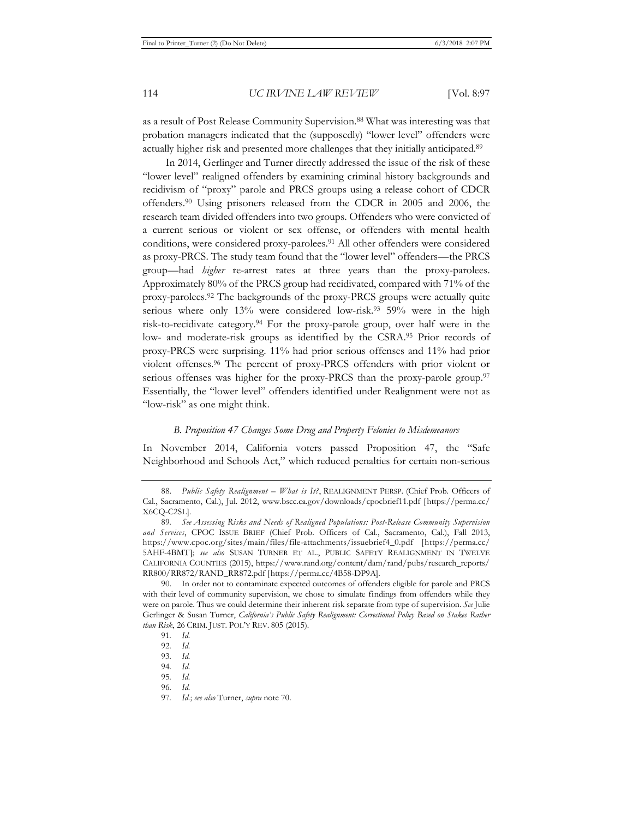as a result of Post Release Community Supervision.88 What was interesting was that probation managers indicated that the (supposedly) "lower level" offenders were actually higher risk and presented more challenges that they initially anticipated.89

In 2014, Gerlinger and Turner directly addressed the issue of the risk of these "lower level" realigned offenders by examining criminal history backgrounds and recidivism of "proxy" parole and PRCS groups using a release cohort of CDCR offenders.90 Using prisoners released from the CDCR in 2005 and 2006, the research team divided offenders into two groups. Offenders who were convicted of a current serious or violent or sex offense, or offenders with mental health conditions, were considered proxy-parolees.91 All other offenders were considered as proxy-PRCS. The study team found that the "lower level" offenders—the PRCS group—had *higher* re-arrest rates at three years than the proxy-parolees. Approximately 80% of the PRCS group had recidivated, compared with 71% of the proxy-parolees.92 The backgrounds of the proxy-PRCS groups were actually quite serious where only 13% were considered low-risk.<sup>93</sup> 59% were in the high risk-to-recidivate category.94 For the proxy-parole group, over half were in the low- and moderate-risk groups as identified by the CSRA.95 Prior records of proxy-PRCS were surprising. 11% had prior serious offenses and 11% had prior violent offenses.96 The percent of proxy-PRCS offenders with prior violent or serious offenses was higher for the proxy-PRCS than the proxy-parole group.<sup>97</sup> Essentially, the "lower level" offenders identified under Realignment were not as "low-risk" as one might think.

#### *B. Proposition 47 Changes Some Drug and Property Felonies to Misdemeanors*

In November 2014, California voters passed Proposition 47, the "Safe Neighborhood and Schools Act," which reduced penalties for certain non-serious

<sup>88.</sup> *Public Safety Realignment – What is It?*, REALIGNMENT PERSP. (Chief Prob. Officers of Cal., Sacramento, Cal.), Jul. 2012, www.bscc.ca.gov/downloads/cpocbrief11.pdf [https://perma.cc/ X6CQ-C2SL].

<sup>89</sup>*. See Assessing Risks and Needs of Realigned Populations: Post-Release Community Supervision and Services*, CPOC ISSUE BRIEF (Chief Prob. Officers of Cal., Sacramento, Cal.), Fall 2013, https://www.cpoc.org/sites/main/files/file-attachments/issuebrief4\_0.pdf [https://perma.cc/ 5AHF-4BMT]; *see also* SUSAN TURNER ET AL., PUBLIC SAFETY REALIGNMENT IN TWELVE CALIFORNIA COUNTIES (2015), https://www.rand.org/content/dam/rand/pubs/research\_reports/ RR800/RR872/RAND\_RR872.pdf [https://perma.cc/4B58-DP9A].

<sup>90.</sup> In order not to contaminate expected outcomes of offenders eligible for parole and PRCS with their level of community supervision, we chose to simulate findings from offenders while they were on parole. Thus we could determine their inherent risk separate from type of supervision. *See* Julie Gerlinger & Susan Turner, *California's Public Safety Realignment: Correctional Policy Based on Stakes Rather than Risk*, 26 CRIM. JUST. POL'Y REV. 805 (2015).

<sup>91</sup>*. Id.*

<sup>92</sup>*. Id.*

<sup>93</sup>*. Id.*

<sup>94</sup>*. Id.*

<sup>95</sup>*. Id.*

<sup>96</sup>*. Id.*

<sup>97</sup>*. Id.*; *see also* Turner, *supra* note 70.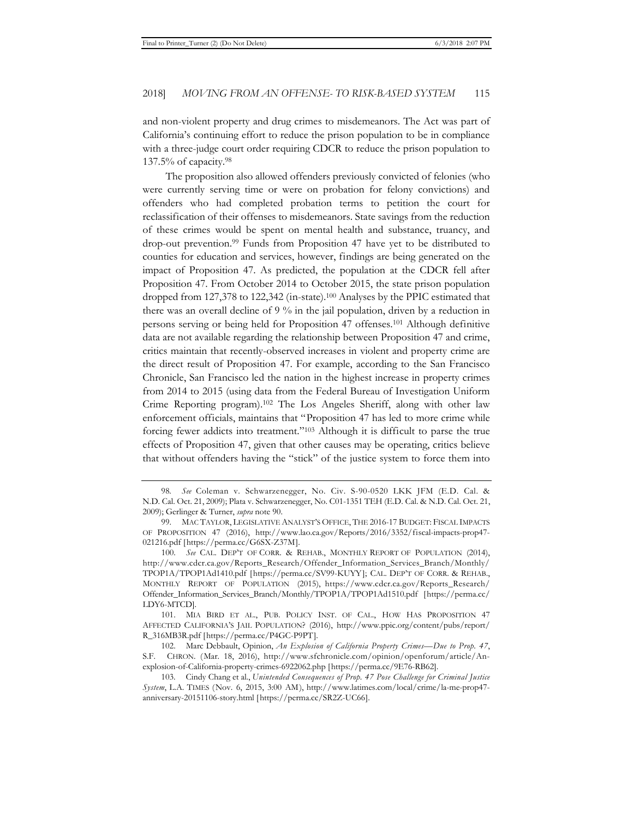and non-violent property and drug crimes to misdemeanors. The Act was part of California's continuing effort to reduce the prison population to be in compliance with a three-judge court order requiring CDCR to reduce the prison population to 137.5% of capacity.98

The proposition also allowed offenders previously convicted of felonies (who were currently serving time or were on probation for felony convictions) and offenders who had completed probation terms to petition the court for reclassification of their offenses to misdemeanors. State savings from the reduction of these crimes would be spent on mental health and substance, truancy, and drop-out prevention.99 Funds from Proposition 47 have yet to be distributed to counties for education and services, however, findings are being generated on the impact of Proposition 47. As predicted, the population at the CDCR fell after Proposition 47. From October 2014 to October 2015, the state prison population dropped from 127,378 to 122,342 (in-state).100 Analyses by the PPIC estimated that there was an overall decline of 9 % in the jail population, driven by a reduction in persons serving or being held for Proposition 47 offenses.101 Although definitive data are not available regarding the relationship between Proposition 47 and crime, critics maintain that recently-observed increases in violent and property crime are the direct result of Proposition 47. For example, according to the San Francisco Chronicle, San Francisco led the nation in the highest increase in property crimes from 2014 to 2015 (using data from the Federal Bureau of Investigation Uniform Crime Reporting program).102 The Los Angeles Sheriff, along with other law enforcement officials, maintains that "Proposition 47 has led to more crime while forcing fewer addicts into treatment."103 Although it is difficult to parse the true effects of Proposition 47, given that other causes may be operating, critics believe that without offenders having the "stick" of the justice system to force them into

<sup>98</sup>*. See* Coleman v. Schwarzenegger, No. Civ. S-90-0520 LKK JFM (E.D. Cal. & N.D. Cal. Oct. 21, 2009); Plata v. Schwarzenegger, No. C01-1351 TEH (E.D. Cal. & N.D. Cal. Oct. 21, 2009); Gerlinger & Turner, *supra* note 90.

<sup>99.</sup> MAC TAYLOR, LEGISLATIVE ANALYST'S OFFICE, THE 2016-17 BUDGET: FISCAL IMPACTS OF PROPOSITION 47 (2016), http://www.lao.ca.gov/Reports/2016/3352/fiscal-impacts-prop47- 021216.pdf [https://perma.cc/G6SX-Z37M].

<sup>100</sup>*. See* CAL. DEP'T OF CORR. & REHAB., MONTHLY REPORT OF POPULATION (2014), http://www.cdcr.ca.gov/Reports\_Research/Offender\_Information\_Services\_Branch/Monthly/ TPOP1A/TPOP1Ad1410.pdf [https://perma.cc/SV99-KUYY]; CAL. DEP'T OF CORR. & REHAB., MONTHLY REPORT OF POPULATION (2015), https://www.cdcr.ca.gov/Reports\_Research/ Offender\_Information\_Services\_Branch/Monthly/TPOP1A/TPOP1Ad1510.pdf [https://perma.cc/ LDY6-MTCD].

<sup>101.</sup> MIA BIRD ET AL., PUB. POLICY INST. OF CAL., HOW HAS PROPOSITION 47 AFFECTED CALIFORNIA'S JAIL POPULATION? (2016), http://www.ppic.org/content/pubs/report/ R\_316MB3R.pdf [https://perma.cc/P4GC-P9PT].

<sup>102.</sup> Marc Debbault, Opinion, *An Explosion of California Property Crimes—Due to Prop. 47*, S.F. CHRON. (Mar. 18, 2016), http://www.sfchronicle.com/opinion/openforum/article/Anexplosion-of-California-property-crimes-6922062.php [https://perma.cc/9E76-RB62].

<sup>103.</sup> Cindy Chang et al., *Unintended Consequences of Prop. 47 Pose Challenge for Criminal Justice System*, L.A. TIMES (Nov. 6, 2015, 3:00 AM), http://www.latimes.com/local/crime/la-me-prop47 anniversary-20151106-story.html [https://perma.cc/SR2Z-UC66].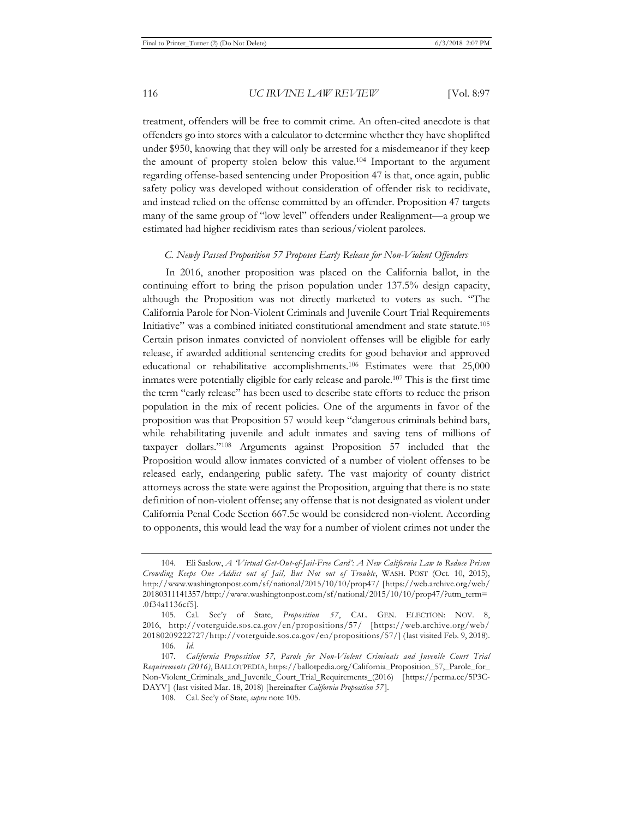treatment, offenders will be free to commit crime. An often-cited anecdote is that offenders go into stores with a calculator to determine whether they have shoplifted under \$950, knowing that they will only be arrested for a misdemeanor if they keep the amount of property stolen below this value.104 Important to the argument regarding offense-based sentencing under Proposition 47 is that, once again, public safety policy was developed without consideration of offender risk to recidivate, and instead relied on the offense committed by an offender. Proposition 47 targets many of the same group of "low level" offenders under Realignment—a group we estimated had higher recidivism rates than serious/violent parolees.

#### *C. Newly Passed Proposition 57 Proposes Early Release for Non-Violent Offenders*

In 2016, another proposition was placed on the California ballot, in the continuing effort to bring the prison population under 137.5% design capacity, although the Proposition was not directly marketed to voters as such. "The California Parole for Non-Violent Criminals and Juvenile Court Trial Requirements Initiative" was a combined initiated constitutional amendment and state statute.105 Certain prison inmates convicted of nonviolent offenses will be eligible for early release, if awarded additional sentencing credits for good behavior and approved educational or rehabilitative accomplishments.106 Estimates were that 25,000 inmates were potentially eligible for early release and parole.107 This is the first time the term "early release" has been used to describe state efforts to reduce the prison population in the mix of recent policies. One of the arguments in favor of the proposition was that Proposition 57 would keep "dangerous criminals behind bars, while rehabilitating juvenile and adult inmates and saving tens of millions of taxpayer dollars."108 Arguments against Proposition 57 included that the Proposition would allow inmates convicted of a number of violent offenses to be released early, endangering public safety. The vast majority of county district attorneys across the state were against the Proposition, arguing that there is no state definition of non-violent offense; any offense that is not designated as violent under California Penal Code Section 667.5c would be considered non-violent. According to opponents, this would lead the way for a number of violent crimes not under the

<sup>104.</sup> Eli Saslow, *A 'Virtual Get-Out-of-Jail-Free Card': A New California Law to Reduce Prison Crowding Keeps One Addict out of Jail, But Not out of Trouble*, WASH. POST (Oct. 10, 2015), http://www.washingtonpost.com/sf/national/2015/10/10/prop47/ [https://web.archive.org/web/ 20180311141357/http://www.washingtonpost.com/sf/national/2015/10/10/prop47/?utm\_term= .0f34a1136cf5].

<sup>105.</sup> Cal. Sec'y of State, *Proposition 57*, CAL. GEN. ELECTION: NOV. 8, 2016, http://voterguide.sos.ca.gov/en/propositions/57/ [https://web.archive.org/web/ 20180209222727/http://voterguide.sos.ca.gov/en/propositions/57/] (last visited Feb. 9, 2018).

<sup>106</sup>*. Id.*

<sup>107</sup>*. California Proposition 57, Parole for Non-Violent Criminals and Juvenile Court Trial Requirements (2016)*, BALLOTPEDIA, https://ballotpedia.org/California\_Proposition\_57,\_Parole\_for\_ Non-Violent\_Criminals\_and\_Juvenile\_Court\_Trial\_Requirements\_(2016) [https://perma.cc/5P3C-DAYV] (last visited Mar. 18, 2018) [hereinafter *California Proposition 57* ].

<sup>108.</sup> Cal. Sec'y of State, *supra* note 105.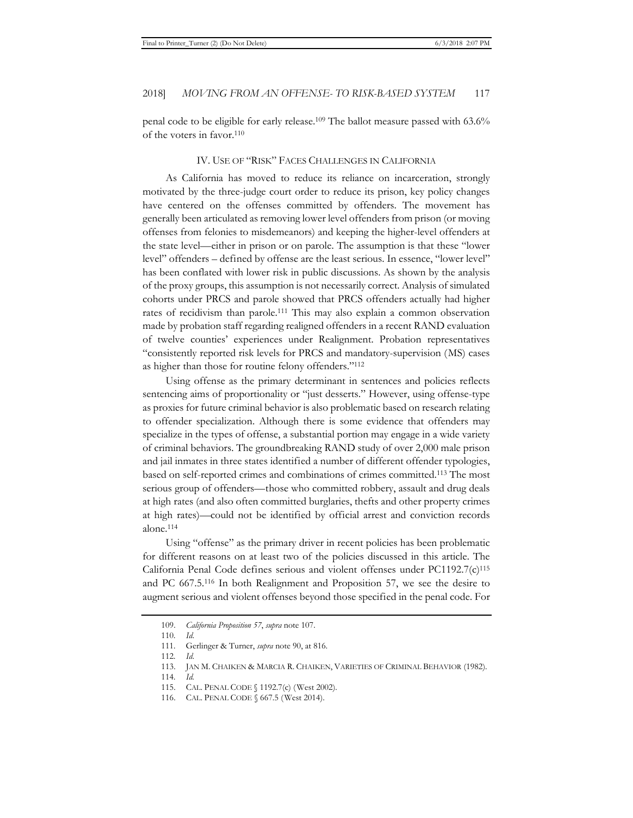penal code to be eligible for early release.109 The ballot measure passed with 63.6% of the voters in favor.110

#### IV. USE OF "RISK" FACES CHALLENGES IN CALIFORNIA

As California has moved to reduce its reliance on incarceration, strongly motivated by the three-judge court order to reduce its prison, key policy changes have centered on the offenses committed by offenders. The movement has generally been articulated as removing lower level offenders from prison (or moving offenses from felonies to misdemeanors) and keeping the higher-level offenders at the state level—either in prison or on parole. The assumption is that these "lower level" offenders – defined by offense are the least serious. In essence, "lower level" has been conflated with lower risk in public discussions. As shown by the analysis of the proxy groups, this assumption is not necessarily correct. Analysis of simulated cohorts under PRCS and parole showed that PRCS offenders actually had higher rates of recidivism than parole.111 This may also explain a common observation made by probation staff regarding realigned offenders in a recent RAND evaluation of twelve counties' experiences under Realignment. Probation representatives "consistently reported risk levels for PRCS and mandatory-supervision (MS) cases as higher than those for routine felony offenders."112

Using offense as the primary determinant in sentences and policies reflects sentencing aims of proportionality or "just desserts." However, using offense-type as proxies for future criminal behavior is also problematic based on research relating to offender specialization. Although there is some evidence that offenders may specialize in the types of offense, a substantial portion may engage in a wide variety of criminal behaviors. The groundbreaking RAND study of over 2,000 male prison and jail inmates in three states identified a number of different offender typologies, based on self-reported crimes and combinations of crimes committed.113 The most serious group of offenders—those who committed robbery, assault and drug deals at high rates (and also often committed burglaries, thefts and other property crimes at high rates)—could not be identified by official arrest and conviction records alone.114

Using "offense" as the primary driver in recent policies has been problematic for different reasons on at least two of the policies discussed in this article. The California Penal Code defines serious and violent offenses under PC1192.7(c)115 and PC 667.5.116 In both Realignment and Proposition 57, we see the desire to augment serious and violent offenses beyond those specified in the penal code. For

<sup>109.</sup> *California Proposition 57*, *supra* note 107.

<sup>110</sup>*. Id*. 112*. Id*.

<sup>111.</sup> Gerlinger & Turner, *supra* note 90, at 816.

<sup>113.</sup> JAN M. CHAIKEN & MARCIA R. CHAIKEN, VARIETIES OF CRIMINAL BEHAVIOR (1982).

<sup>114</sup>*. Id.* 

<sup>115.</sup> CAL. PENAL CODE § 1192.7(c) (West 2002).

<sup>116.</sup> CAL. PENAL CODE § 667.5 (West 2014).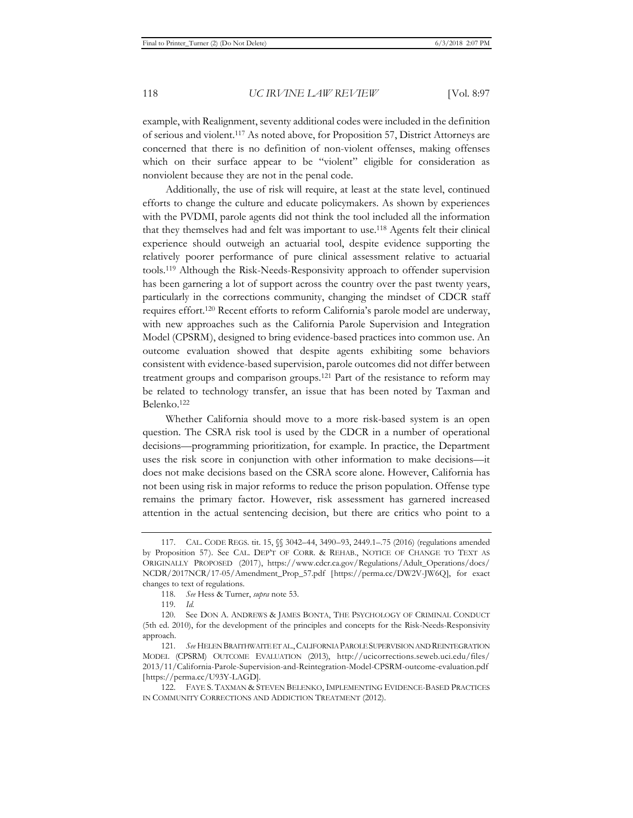example, with Realignment, seventy additional codes were included in the definition of serious and violent.117 As noted above, for Proposition 57, District Attorneys are concerned that there is no definition of non-violent offenses, making offenses which on their surface appear to be "violent" eligible for consideration as nonviolent because they are not in the penal code.

Additionally, the use of risk will require, at least at the state level, continued efforts to change the culture and educate policymakers. As shown by experiences with the PVDMI, parole agents did not think the tool included all the information that they themselves had and felt was important to use.<sup>118</sup> Agents felt their clinical experience should outweigh an actuarial tool, despite evidence supporting the relatively poorer performance of pure clinical assessment relative to actuarial tools.119 Although the Risk-Needs-Responsivity approach to offender supervision has been garnering a lot of support across the country over the past twenty years, particularly in the corrections community, changing the mindset of CDCR staff requires effort.120 Recent efforts to reform California's parole model are underway, with new approaches such as the California Parole Supervision and Integration Model (CPSRM), designed to bring evidence-based practices into common use. An outcome evaluation showed that despite agents exhibiting some behaviors consistent with evidence-based supervision, parole outcomes did not differ between treatment groups and comparison groups.121 Part of the resistance to reform may be related to technology transfer, an issue that has been noted by Taxman and Belenko.122

Whether California should move to a more risk-based system is an open question. The CSRA risk tool is used by the CDCR in a number of operational decisions—programming prioritization, for example. In practice, the Department uses the risk score in conjunction with other information to make decisions—it does not make decisions based on the CSRA score alone. However, California has not been using risk in major reforms to reduce the prison population. Offense type remains the primary factor. However, risk assessment has garnered increased attention in the actual sentencing decision, but there are critics who point to a

<sup>117.</sup> CAL. CODE REGS. tit. 15, §§ 3042–44, 3490–93, 2449.1–.75 (2016) (regulations amended by Proposition 57). See CAL. DEP'T OF CORR. & REHAB., NOTICE OF CHANGE TO TEXT AS ORIGINALLY PROPOSED (2017), https://www.cdcr.ca.gov/Regulations/Adult\_Operations/docs/ NCDR/2017NCR/17-05/Amendment\_Prop\_57.pdf [https://perma.cc/DW2V-JW6Q], for exact changes to text of regulations.

<sup>118</sup>*. See* Hess & Turner, *supra* note 53.

<sup>119</sup>*. Id.*

<sup>120.</sup> See DON A. ANDREWS & JAMES BONTA, THE PSYCHOLOGY OF CRIMINAL CONDUCT (5th ed. 2010), for the development of the principles and concepts for the Risk-Needs-Responsivity approach.

<sup>121</sup>*. See* HELEN BRAITHWAITE ET AL., CALIFORNIA PAROLE SUPERVISION AND REINTEGRATION MODEL (CPSRM) OUTCOME EVALUATION (2013), http://ucicorrections.seweb.uci.edu/files/ 2013/11/California-Parole-Supervision-and-Reintegration-Model-CPSRM-outcome-evaluation.pdf [https://perma.cc/U93Y-LAGD].

<sup>122.</sup> FAYE S. TAXMAN & STEVEN BELENKO, IMPLEMENTING EVIDENCE-BASED PRACTICES IN COMMUNITY CORRECTIONS AND ADDICTION TREATMENT (2012).